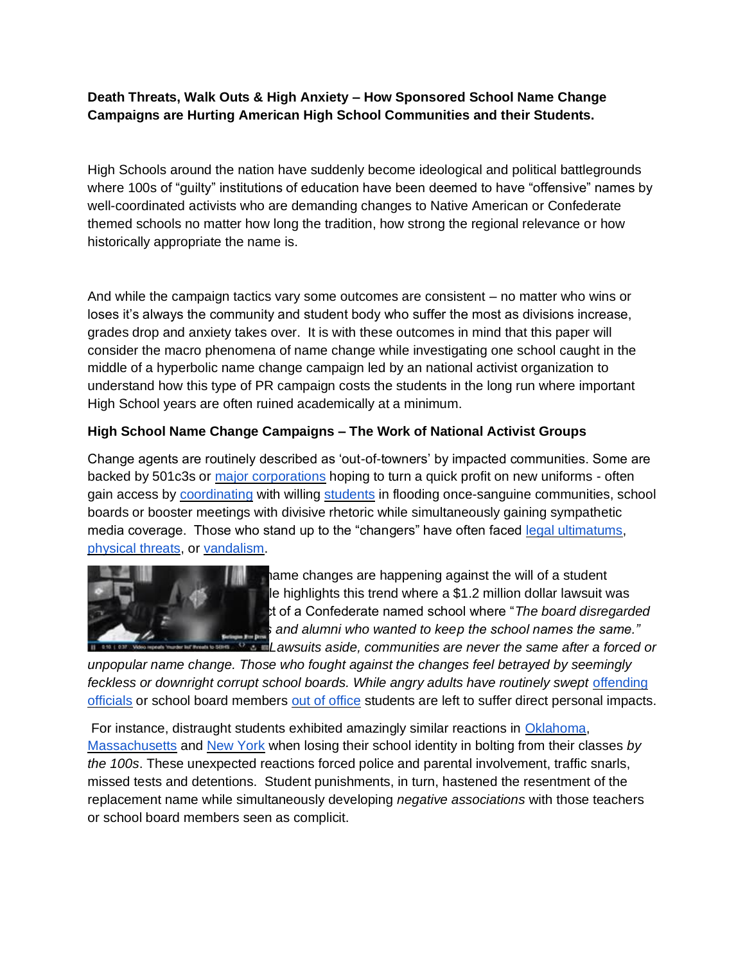# **Death Threats, Walk Outs & High Anxiety – How Sponsored School Name Change Campaigns are Hurting American High School Communities and their Students.**

High Schools around the nation have suddenly become ideological and political battlegrounds where 100s of "guilty" institutions of education have been deemed to have "offensive" names by well-coordinated activists who are demanding changes to Native American or Confederate themed schools no matter how long the tradition, how strong the regional relevance or how historically appropriate the name is.

And while the campaign tactics vary some outcomes are consistent – no matter who wins or loses it's always the community and student body who suffer the most as divisions increase, grades drop and anxiety takes over. It is with these outcomes in mind that this paper will consider the macro phenomena of name change while investigating one school caught in the middle of a hyperbolic name change campaign led by an national activist organization to understand how this type of PR campaign costs the students in the long run where important High School years are often ruined academically at a minimum.

## **High School Name Change Campaigns – The Work of National Activist Groups**

Change agents are routinely described as 'out-of-towners' by impacted communities. Some are backed by 501c3s or [major corporations](http://savethename.org/nazi-founded-shoemaker-to-convince-schools-their-names-are-offensive) hoping to turn a quick profit on new uniforms - often gain access by [coordinating](http://www.connectionnewspapers.com/news/2015/sep/24/fairfax-county-naacp-hosts-70th-freedom-fund-award/) with willing [students](http://www.fairfaxtimes.com/articles/j-e-b-stuart-high-school-debates-school-name-change/article_a032a42a-2452-11e6-9f7c-57281ee9e658.html) in flooding once-sanguine communities, school boards or booster meetings with divisive rhetoric while simultaneously gaining sympathetic media coverage. Those who stand up to the "changers" have often faced [legal ultimatums,](http://levittownnow.com/2013/10/16/parent-files-complaint-state-neshaminy-redskins-name/) [physical threats,](https://www.youtube.com/watch?v=0B1m1d4v8vI) or [vandalism.](http://www.mlive.com/news/kalamazoo/index.ssf/2017/02/paw_paw_remains_the_redskins_b.html)



**In the name changes are happening against the will of a student** le highlights this trend where a  $$1.2$  million dollar lawsuit was t of a Confederate named school where "*The board disregarded*  $s$  and alumni who wanted to keep the school names the same." *Lawsuits aside, communities are never the same after a forced or* 

*unpopular name change. Those who fought against the changes feel betrayed by seemingly*  feckless or downright corrupt school boards. While angry adults have routinely swept offending [officials](https://patch.com/massachusetts/tewksbury/vote-tewksbury-2017-town-election-april-1) or school board members [out of office](http://buffalonews.com/2015/05/19/pro-mascot-candidates-win-seats-in-lancaster/) students are left to suffer direct personal impacts.

For instance, distraught students exhibited amazingly similar reactions in [Oklahoma,](http://www.cnn.com/2014/12/10/living/oklahoma-school-redskins-debate/index.html) [Massachusetts](http://wwlp.com/2017/02/15/turners-falls-students-protesting-elimination-of-indians-nickname/) and [New York](https://www.youtube.com/watch?v=SSWxrJqy36w&t=2s) when losing their school identity in bolting from their classes *by the 100s*. These unexpected reactions forced police and parental involvement, traffic snarls, missed tests and detentions. Student punishments, in turn, hastened the resentment of the replacement name while simultaneously developing *negative associations* with those teachers or school board members seen as complicit.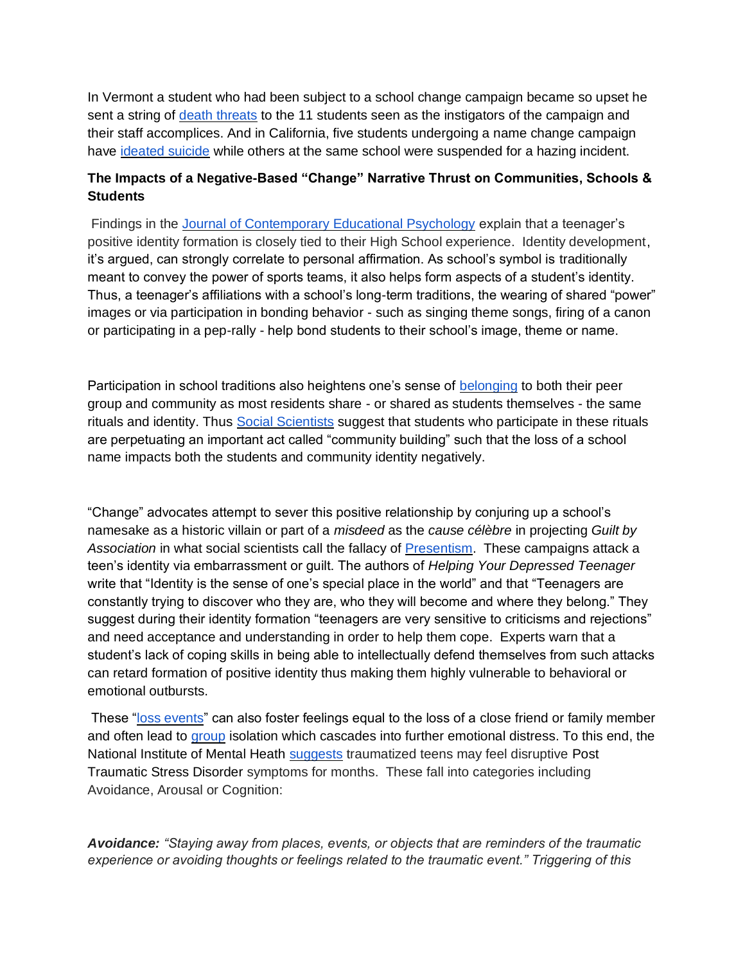In Vermont a student who had been subject to a school change campaign became so upset he sent a string of [death threats](http://www.burlingtonfreepress.com/videos/news/2017/04/21/video-repeats-) to the 11 students seen as the instigators of the campaign and their staff accomplices. And in California, five students undergoing a name change campaign have [ideated suicide](http://www.nvusd.org/cms/page_view?d=x&piid=&vpid=1462354710894) while others at the same school were suspended for a hazing incident.

# **The Impacts of a Negative-Based "Change" Narrative Thrust on Communities, Schools & Students**

Findings in the [Journal of Contemporary Educational Psychology](https://www.researchgate.net/profile/Elli_Schachter/publication/229251885_High_school_identity_climate_and_student_identity_development/links/00b7d52c85b9055b4a000000/High-school-identity-climate-and-student-identity-development.pdf) explain that a teenager's positive identity formation is closely tied to their High School experience. Identity development, it's argued, can strongly correlate to personal affirmation. As school's symbol is traditionally meant to convey the power of sports teams, it also helps form aspects of a student's identity. Thus, a teenager's affiliations with a school's long-term traditions, the wearing of shared "power" images or via participation in bonding behavior - such as singing theme songs, firing of a canon or participating in a pep-rally - help bond students to their school's image, theme or name.

Participation in school traditions also heightens one's sense of [belonging](https://www.researchgate.net/publication/21534026_Sense_of_Belonging_A_Vital_Mental_Health_Concept) to both their peer group and community as most residents share - or shared as students themselves - the same rituals and identity. Thus [Social Scientists](https://books.google.com/books?id=-27m10R_LlMC&pg=PA48&lpg=PA48&dq=Shared+rituals+as+community+building+skills&source=bl&ots=E69FonKW_K&sig=L2-Msf9x5tz9EtlllnH-rlqVE3Y&hl=en&sa=X&ved=0ahUKEwjB0JPbmffTAhWB7SYKHfkvAWkQ6AEIKjAB#v=onepage&q=Shared%20rituals%20) suggest that students who participate in these rituals are perpetuating an important act called "community building" such that the loss of a school name impacts both the students and community identity negatively.

"Change" advocates attempt to sever this positive relationship by conjuring up a school's namesake as a historic villain or part of a *misdeed* as the *cause célèbre* in projecting *Guilt by Association* in what social scientists call the fallacy of [Presentism.](https://www.historians.org/publications-and-directories/perspectives-on-history/may-2002/against-presentism) These campaigns attack a teen's identity via embarrassment or guilt. The authors of *Helping Your Depressed Teenager* write that "Identity is the sense of one's special place in the world" and that "Teenagers are constantly trying to discover who they are, who they will become and where they belong." They suggest during their identity formation "teenagers are very sensitive to criticisms and rejections" and need acceptance and understanding in order to help them cope. Experts warn that a student's lack of coping skills in being able to intellectually defend themselves from such attacks can retard formation of positive identity thus making them highly vulnerable to behavioral or emotional outbursts.

These ["loss events"](https://www.tc.columbia.edu/faculty/gab38/faculty-profile/files/americanPsychologist.pdf) can also foster feelings equal to the loss of a close friend or family member and often lead to [group](http://journals.sagepub.com/doi/abs/10.1067/mpn.2002.127290) isolation which cascades into further emotional distress. To this end, the National Institute of Mental Heath [suggests](https://www.nimh.nih.gov/health/topics/post-traumatic-stress-disorder-ptsd/index.shtml) traumatized teens may feel disruptive Post Traumatic Stress Disorder symptoms for months. These fall into categories including Avoidance, Arousal or Cognition:

*Avoidance: "Staying away from places, events, or objects that are reminders of the traumatic experience or avoiding thoughts or feelings related to the traumatic event." Triggering of this*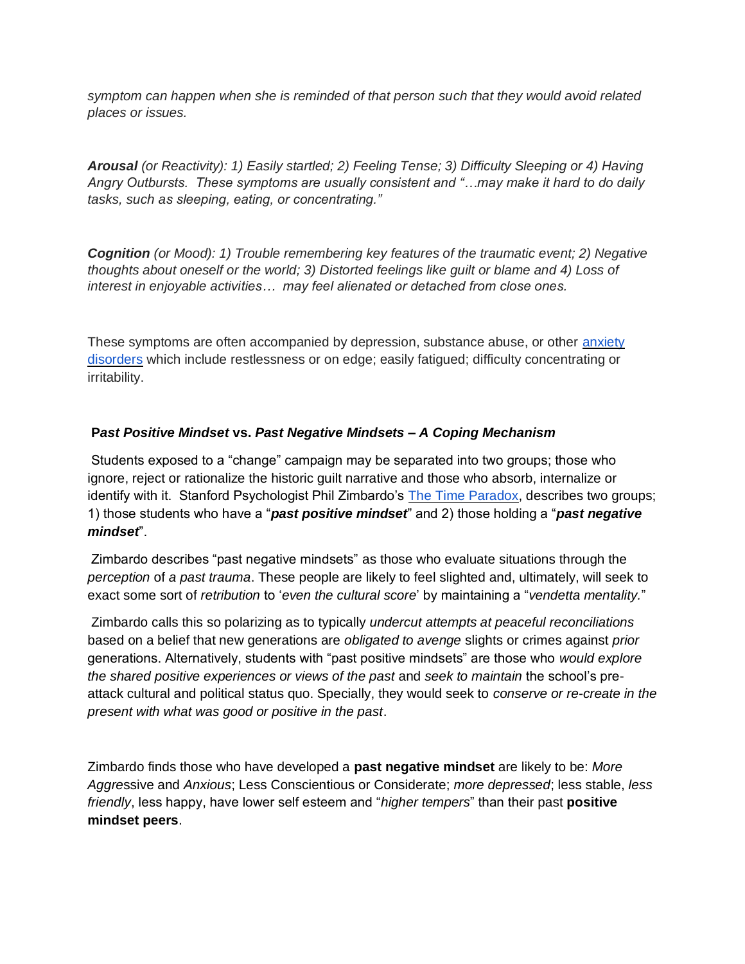*symptom can happen when she is reminded of that person such that they would avoid related places or issues.*

*Arousal (or Reactivity): 1) Easily startled; 2) Feeling Tense; 3) Difficulty Sleeping or 4) Having Angry Outbursts. These symptoms are usually consistent and "…may make it hard to do daily tasks, such as sleeping, eating, or concentrating."*

*Cognition (or Mood): 1) Trouble remembering key features of the traumatic event; 2) Negative thoughts about oneself or the world; 3) Distorted feelings like guilt or blame and 4) Loss of interest in enjoyable activities… may feel alienated or detached from close ones.* 

These symptoms are often accompanied by depression, substance abuse, or other [anxiety](https://www.nimh.nih.gov/health/topics/anxiety-disorders/index.shtml)  [disorders](https://www.nimh.nih.gov/health/topics/anxiety-disorders/index.shtml) which include restlessness or on edge; easily fatigued; difficulty concentrating or irritability.

## **P***ast Positive Mindset* **vs.** *Past Negative Mindsets – A Coping Mechanism*

Students exposed to a "change" campaign may be separated into two groups; those who ignore, reject or rationalize the historic guilt narrative and those who absorb, internalize or identify with it. Stanford Psychologist Phil Zimbardo's [The Time Paradox,](http://www.goodreads.com/book/show/2631984-the-time-paradox) describes two groups; 1) those students who have a "*past positive mindset*" and 2) those holding a "*past negative mindset*".

Zimbardo describes "past negative mindsets" as those who evaluate situations through the *perception* of *a past trauma*. These people are likely to feel slighted and, ultimately, will seek to exact some sort of *retribution* to '*even the cultural score*' by maintaining a "*vendetta mentality.*"

Zimbardo calls this so polarizing as to typically *undercut attempts at peaceful reconciliations* based on a belief that new generations are *obligated to avenge* slights or crimes against *prior*  generations. Alternatively, students with "past positive mindsets" are those who *would explore the shared positive experiences or views of the past* and *seek to maintain* the school's preattack cultural and political status quo. Specially, they would seek to *conserve or re-create in the present with what was good or positive in the past*.

Zimbardo finds those who have developed a **past negative mindset** are likely to be: *More Aggre*ssive and *Anxious*; Less Conscientious or Considerate; *more depressed*; less stable, *less friendly*, less happy, have lower self esteem and "*higher tempers*" than their past **positive mindset peers**.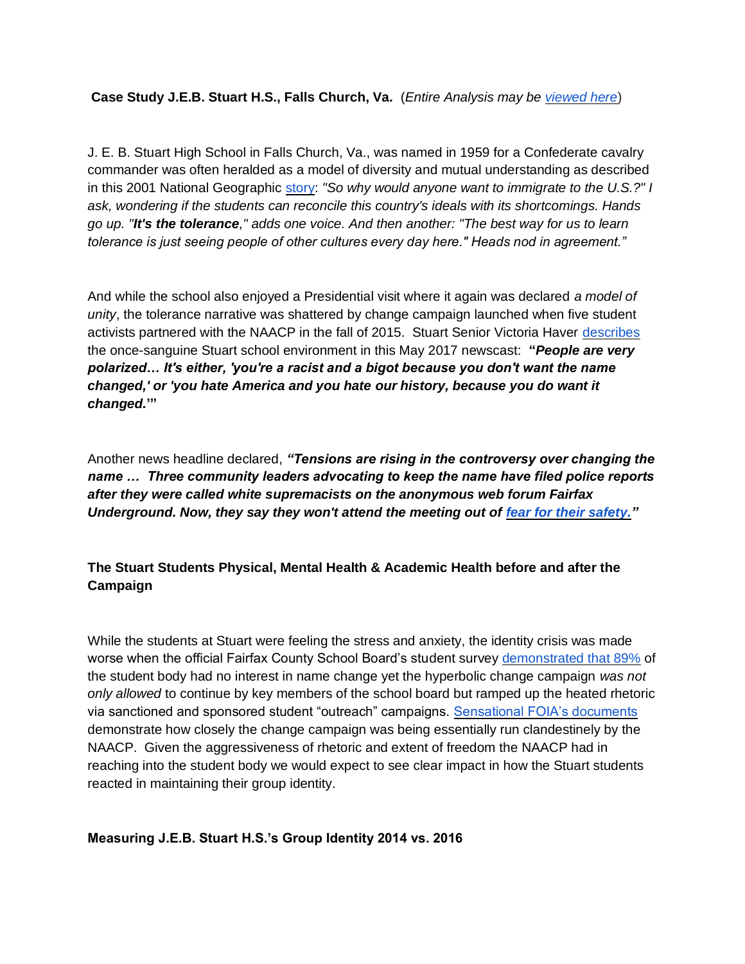**Case Study J.E.B. Stuart H.S., Falls Church, Va.** (*Entire Analysis may be [viewed here](https://drive.google.com/file/d/0B4scrQ03kIlsQ003VWkyajUzWkk/view?usp=sharing)*)

J. E. B. Stuart High School in Falls Church, Va., was named in 1959 for a Confederate cavalry commander was often heralded as a model of diversity and mutual understanding as described in this 2001 National Geographic [story:](http://ngm.nationalgeographic.com/ngm/data/2001/09/01/html/fulltext3.html) *"So why would anyone want to immigrate to the U.S.?" I ask, wondering if the students can reconcile this country's ideals with its shortcomings. Hands go up. "It's the tolerance," adds one voice. And then another: "The best way for us to learn tolerance is just seeing people of other cultures every day here." Heads nod in agreement."*

And while the school also enjoyed a Presidential visit where it again was declared *a model of unity*, the tolerance narrative was shattered by change campaign launched when five student activists partnered with the NAACP in the fall of 2015. Stuart Senior Victoria Haver [describes](http://www.wusa9.com/mb/news/local/jeb-stuart-high-launches-packed-bus-tours-to-help-decide-name/441663586) the once-sanguine Stuart school environment in this May 2017 newscast: **"***People are very polarized… It's either, 'you're a racist and a bigot because you don't want the name changed,' or 'you hate America and you hate our history, because you do want it changed.***'"**

Another news headline declared, *"Tensions are rising in the controversy over changing the name … Three community leaders advocating to keep the name have filed police reports after they were called white supremacists on the anonymous web forum Fairfax Underground. Now, they say they won't attend the meeting out of [fear for their safety."](http://www.wusa9.com/mb/news/local/tensions-rising-over-changing-the-name-of-jeb-stuart-high-school/440607017)*

# **The Stuart Students Physical, Mental Health & Academic Health before and after the Campaign**

While the students at Stuart were feeling the stress and anxiety, the identity crisis was made worse when the official Fairfax County School Board's student survey [demonstrated that 89%](https://drive.google.com/open?id=0B4scrQ03kIlsOUtuRVgyOU5fOFE) of the student body had no interest in name change yet the hyperbolic change campaign *was not only allowed* to continue by key members of the school board but ramped up the heated rhetoric via sanctioned and sponsored student "outreach" campaigns. [Sensational FOIA's documents](http://www.stuartfacts.com/) demonstrate how closely the change campaign was being essentially run clandestinely by the NAACP. Given the aggressiveness of rhetoric and extent of freedom the NAACP had in reaching into the student body we would expect to see clear impact in how the Stuart students reacted in maintaining their group identity.

## **Measuring J.E.B. Stuart H.S.'s Group Identity 2014 vs. 2016**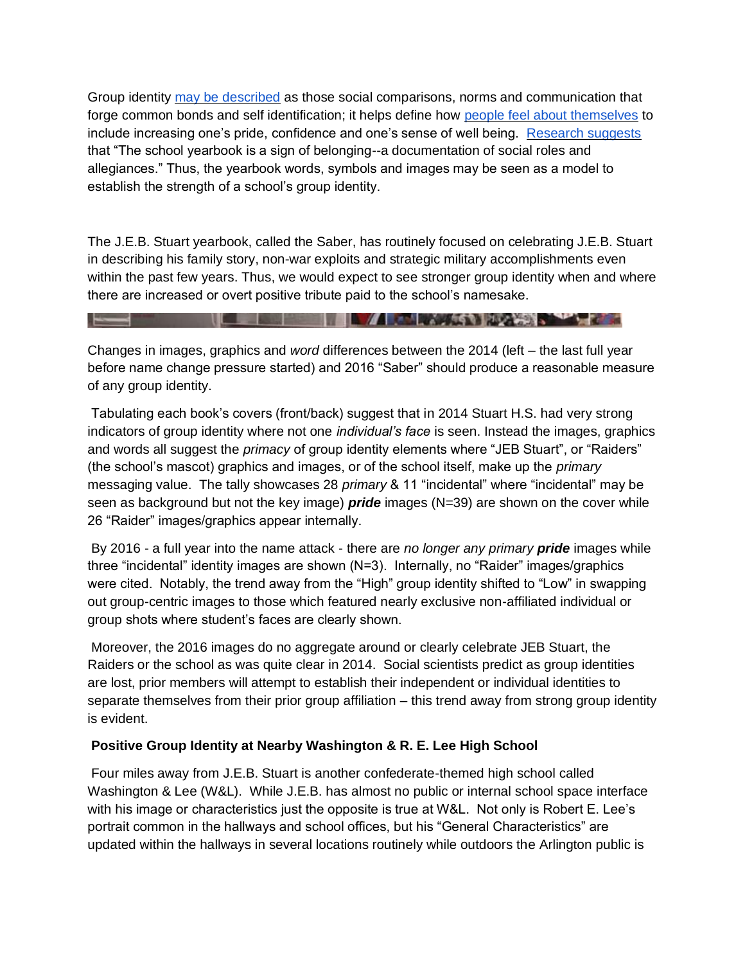Group identity [may be described](https://psychology.iresearchnet.com/social-psychology/group/group-identity/) as those social comparisons, norms and communication that forge common bonds and self identification; it helps define how [people feel about themselves](http://onlinelibrary.wiley.com/doi/10.1111/j.1467-8624.2008.01153.x/abstract?utm_source=Brilliant:+The+New+Science+of+Smart+Newsletter&utm_campaign=e63f9195e0-Brilliant_Report_16_1_2012&utm_medium=email&utm_term=0_9c734401c1-e63f9195e0-306129765) to include increasing one's pride, confidence and one's sense of well being. [Research suggests](http://www.freepatentsonline.com/article/Journal-Curriculum-Theorizing/173422699.html) that "The school yearbook is a sign of belonging--a documentation of social roles and allegiances." Thus, the yearbook words, symbols and images may be seen as a model to establish the strength of a school's group identity.

The J.E.B. Stuart yearbook, called the Saber, has routinely focused on celebrating J.E.B. Stuart in describing his family story, non-war exploits and strategic military accomplishments even within the past few years. Thus, we would expect to see stronger group identity when and where there are increased or overt positive tribute paid to the school's namesake.

**The Community of the Community of the Community of the Community of the Community of the Community of the Community of the Community of the Community of the Community of the Community of the Community of the Community of** 

Changes in images, graphics and *word* differences between the 2014 (left – the last full year before name change pressure started) and 2016 "Saber" should produce a reasonable measure of any group identity.

Tabulating each book's covers (front/back) suggest that in 2014 Stuart H.S. had very strong indicators of group identity where not one *individual's face* is seen. Instead the images, graphics and words all suggest the *primacy* of group identity elements where "JEB Stuart", or "Raiders" (the school's mascot) graphics and images, or of the school itself, make up the *primary* messaging value. The tally showcases 28 *primary* & 11 "incidental" where "incidental" may be seen as background but not the key image) *pride* images (N=39) are shown on the cover while 26 "Raider" images/graphics appear internally.

By 2016 - a full year into the name attack - there are *no longer any primary pride* images while three "incidental" identity images are shown (N=3). Internally, no "Raider" images/graphics were cited. Notably, the trend away from the "High" group identity shifted to "Low" in swapping out group-centric images to those which featured nearly exclusive non-affiliated individual or group shots where student's faces are clearly shown.

Moreover, the 2016 images do no aggregate around or clearly celebrate JEB Stuart, the Raiders or the school as was quite clear in 2014. Social scientists predict as group identities are lost, prior members will attempt to establish their independent or individual identities to separate themselves from their prior group affiliation – this trend away from strong group identity is evident.

## **Positive Group Identity at Nearby Washington & R. E. Lee High School**

Four miles away from J.E.B. Stuart is another confederate-themed high school called Washington & Lee (W&L). While J.E.B. has almost no public or internal school space interface with his image or characteristics just the opposite is true at W&L. Not only is Robert E. Lee's portrait common in the hallways and school offices, but his "General Characteristics" are updated within the hallways in several locations routinely while outdoors the Arlington public is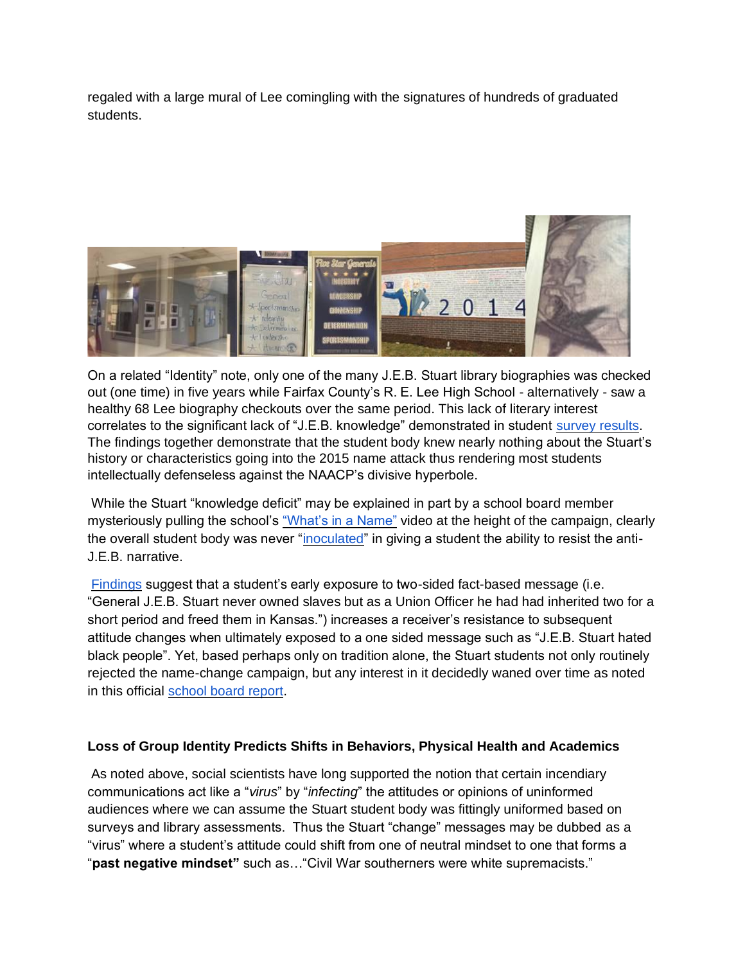regaled with a large mural of Lee comingling with the signatures of hundreds of graduated students.



On a related "Identity" note, only one of the many J.E.B. Stuart library biographies was checked out (one time) in five years while Fairfax County's R. E. Lee High School - alternatively - saw a healthy 68 Lee biography checkouts over the same period. This lack of literary interest correlates to the significant lack of "J.E.B. knowledge" demonstrated in student [survey results.](https://savetheredskins.publishpath.com/survey-gen-jeb-stuart-students-in-virginia-express-strong-desire-to-change-school-boards-controversial-moniker-not-their-own) The findings together demonstrate that the student body knew nearly nothing about the Stuart's history or characteristics going into the 2015 name attack thus rendering most students intellectually defenseless against the NAACP's divisive hyperbole.

While the Stuart "knowledge deficit" may be explained in part by a school board member mysteriously pulling the school's ["What's in a Name"](https://youtu.be/4FdR7u_bSJ0) video at the height of the campaign, clearly the overall student body was never ["inoculated"](http://www.nytimes.com/2008/01/14/nyregion/14mcguire.html) in giving a student the ability to resist the anti-J.E.B. narrative.

[Findings](http://www.globalmediajournal.com/open-access/the-bush-administration-inoculation-strategiesand-the-selling-of-a-war.php?aid=35127) suggest that a student's early exposure to two-sided fact-based message (i.e. "General J.E.B. Stuart never owned slaves but as a Union Officer he had had inherited two for a short period and freed them in Kansas.") increases a receiver's resistance to subsequent attitude changes when ultimately exposed to a one sided message such as "J.E.B. Stuart hated black people". Yet, based perhaps only on tradition alone, the Stuart students not only routinely rejected the name-change campaign, but any interest in it decidedly waned over time as noted in this official [school board report.](https://www.fcps.edu/sites/default/files/media/pdf/Subcommittee%202%20Report%201.pdf)

## **Loss of Group Identity Predicts Shifts in Behaviors, Physical Health and Academics**

As noted above, social scientists have long supported the notion that certain incendiary communications act like a "*virus*" by "*infecting*" the attitudes or opinions of uninformed audiences where we can assume the Stuart student body was fittingly uniformed based on surveys and library assessments. Thus the Stuart "change" messages may be dubbed as a "virus" where a student's attitude could shift from one of neutral mindset to one that forms a "**past negative mindset"** such as…"Civil War southerners were white supremacists."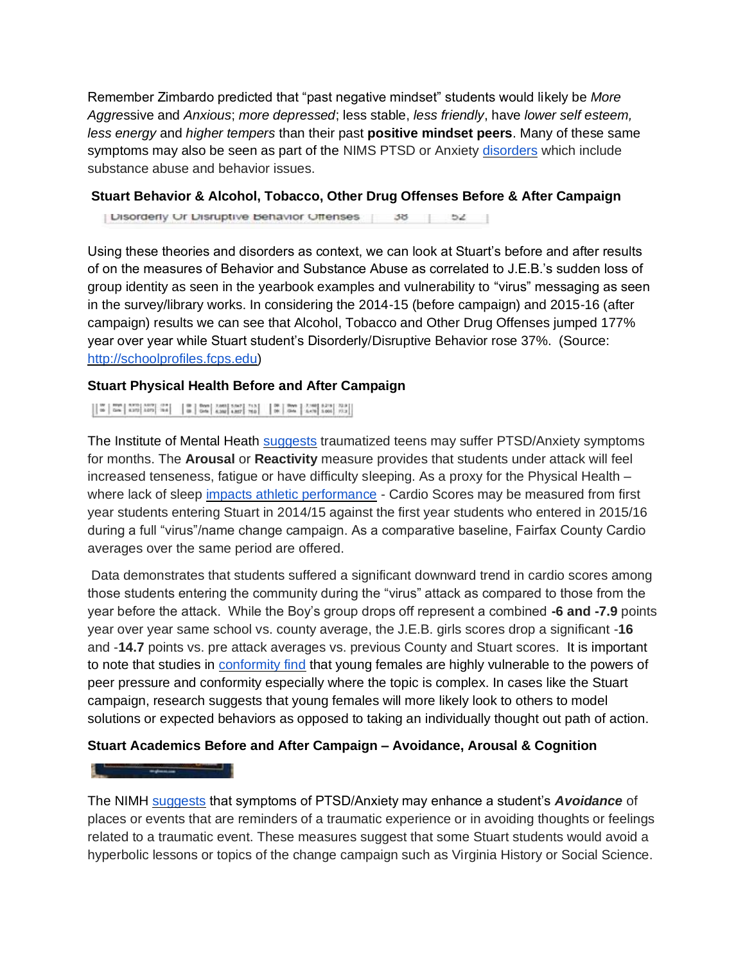Remember Zimbardo predicted that "past negative mindset" students would likely be *More Aggre*ssive and *Anxious*; *more depressed*; less stable, *less friendly*, have *lower self esteem, less energy* and *higher tempers* than their past **positive mindset peers**. Many of these same symptoms may also be seen as part of the NIMS PTSD or Anxiety [disorders](https://www.nimh.nih.gov/health/topics/anxiety-disorders/index.shtml) which include substance abuse and behavior issues.

#### **Stuart Behavior & Alcohol, Tobacco, Other Drug Offenses Before & After Campaign**

| Disorderly Or Disruptive Behavior Offenses | 38 | 52 |

Using these theories and disorders as context, we can look at Stuart's before and after results of on the measures of Behavior and Substance Abuse as correlated to J.E.B.'s sudden loss of group identity as seen in the yearbook examples and vulnerability to "virus" messaging as seen in the survey/library works. In considering the 2014-15 (before campaign) and 2015-16 (after campaign) results we can see that Alcohol, Tobacco and Other Drug Offenses jumped 177% year over year while Stuart student's Disorderly/Disruptive Behavior rose 37%. (Source: [http://schoolprofiles.fcps.edu\)](http://schoolprofiles.fcps.edu/)

#### **Stuart Physical Health Before and After Campaign**

The Institute of Mental Heath [suggests](https://www.nimh.nih.gov/health/topics/post-traumatic-stress-disorder-ptsd/index.shtml) traumatized teens may suffer PTSD/Anxiety symptoms for months. The **Arousal** or **Reactivity** measure provides that students under attack will feel increased tenseness, fatigue or have difficulty sleeping. As a proxy for the Physical Health – where lack of sleep [impacts athletic performance](http://www.livestrong.com/article/366526-exercise-lack-of-sleep/) - Cardio Scores may be measured from first year students entering Stuart in 2014/15 against the first year students who entered in 2015/16 during a full "virus"/name change campaign. As a comparative baseline, Fairfax County Cardio averages over the same period are offered.

Data demonstrates that students suffered a significant downward trend in cardio scores among those students entering the community during the "virus" attack as compared to those from the year before the attack. While the Boy's group drops off represent a combined **-6 and -7.9** points year over year same school vs. county average, the J.E.B. girls scores drop a significant -**16**  and -**14.7** points vs. pre attack averages vs. previous County and Stuart scores. It is important to note that studies in **conformity find** that young females are highly vulnerable to the powers of peer pressure and conformity especially where the topic is complex. In cases like the Stuart campaign, research suggests that young females will more likely look to others to model solutions or expected behaviors as opposed to taking an individually thought out path of action.

## **Stuart Academics Before and After Campaign – Avoidance, Arousal & Cognition**

The NIMH [suggests](https://www.nimh.nih.gov/health/topics/post-traumatic-stress-disorder-ptsd/index.shtml) that symptoms of PTSD/Anxiety may enhance a student's *Avoidance* of places or events that are reminders of a traumatic experience or in avoiding thoughts or feelings related to a traumatic event. These measures suggest that some Stuart students would avoid a hyperbolic lessons or topics of the change campaign such as Virginia History or Social Science.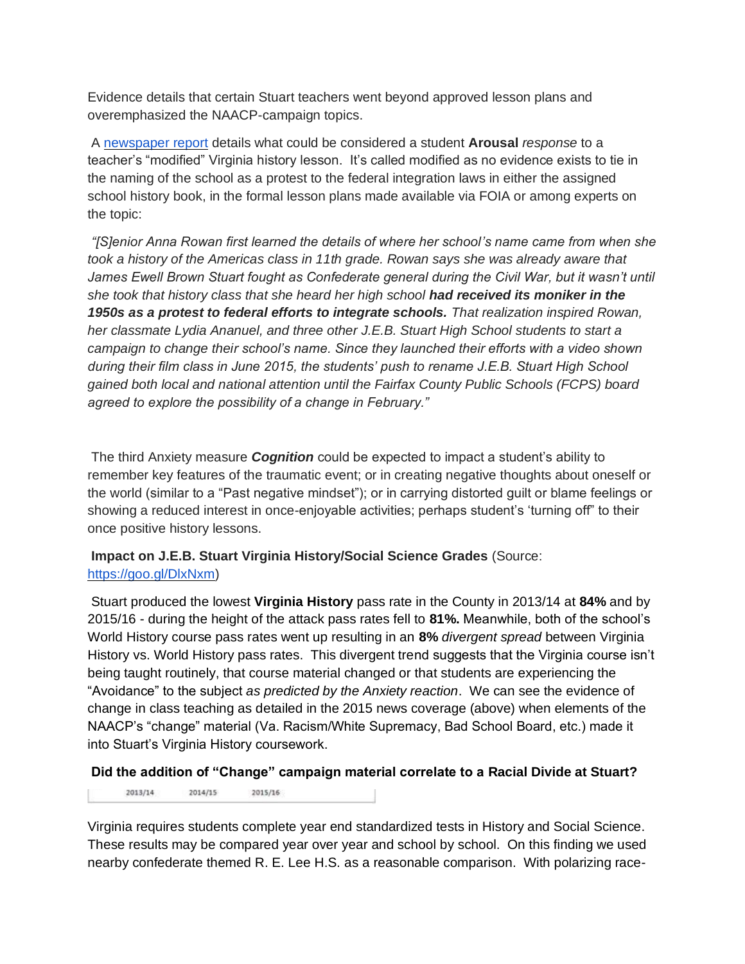Evidence details that certain Stuart teachers went beyond approved lesson plans and overemphasized the NAACP-campaign topics.

A [newspaper report](http://www.fairfaxtimes.com/articles/j-e-b-stuart-high-school-debates-school-name-change/article_a032a42a-2452-11e6-9f7c-57281ee9e658.html) details what could be considered a student **Arousal** *response* to a teacher's "modified" Virginia history lesson. It's called modified as no evidence exists to tie in the naming of the school as a protest to the federal integration laws in either the assigned school history book, in the formal lesson plans made available via FOIA or among experts on the topic:

*"[S]enior Anna Rowan first learned the details of where her school's name came from when she took a history of the Americas class in 11th grade. Rowan says she was already aware that*  James Ewell Brown Stuart fought as Confederate general during the Civil War, but it wasn't until *she took that history class that she heard her high school had received its moniker in the 1950s as a protest to federal efforts to integrate schools. That realization inspired Rowan, her classmate Lydia Ananuel, and three other J.E.B. Stuart High School students to start a campaign to change their school's name. Since they launched their efforts with a video shown during their film class in June 2015, the students' push to rename J.E.B. Stuart High School gained both local and national attention until the Fairfax County Public Schools (FCPS) board agreed to explore the possibility of a change in February."*

The third Anxiety measure *Cognition* could be expected to impact a student's ability to remember key features of the traumatic event; or in creating negative thoughts about oneself or the world (similar to a "Past negative mindset"); or in carrying distorted guilt or blame feelings or showing a reduced interest in once-enjoyable activities; perhaps student's 'turning off" to their once positive history lessons.

**Impact on J.E.B. Stuart Virginia History/Social Science Grades** (Source: [https://goo.gl/DlxNxm\)](https://goo.gl/DlxNxm)

Stuart produced the lowest **Virginia History** pass rate in the County in 2013/14 at **84%** and by 2015/16 - during the height of the attack pass rates fell to **81%.** Meanwhile, both of the school's World History course pass rates went up resulting in an **8%** *divergent spread* between Virginia History vs. World History pass rates. This divergent trend suggests that the Virginia course isn't being taught routinely, that course material changed or that students are experiencing the "Avoidance" to the subject *as predicted by the Anxiety reaction*. We can see the evidence of change in class teaching as detailed in the 2015 news coverage (above) when elements of the NAACP's "change" material (Va. Racism/White Supremacy, Bad School Board, etc.) made it into Stuart's Virginia History coursework.

## **Did the addition of "Change" campaign material correlate to a Racial Divide at Stuart?**

2015/16 2013/14 2014/15

Virginia requires students complete year end standardized tests in History and Social Science. These results may be compared year over year and school by school. On this finding we used nearby confederate themed R. E. Lee H.S. as a reasonable comparison. With polarizing race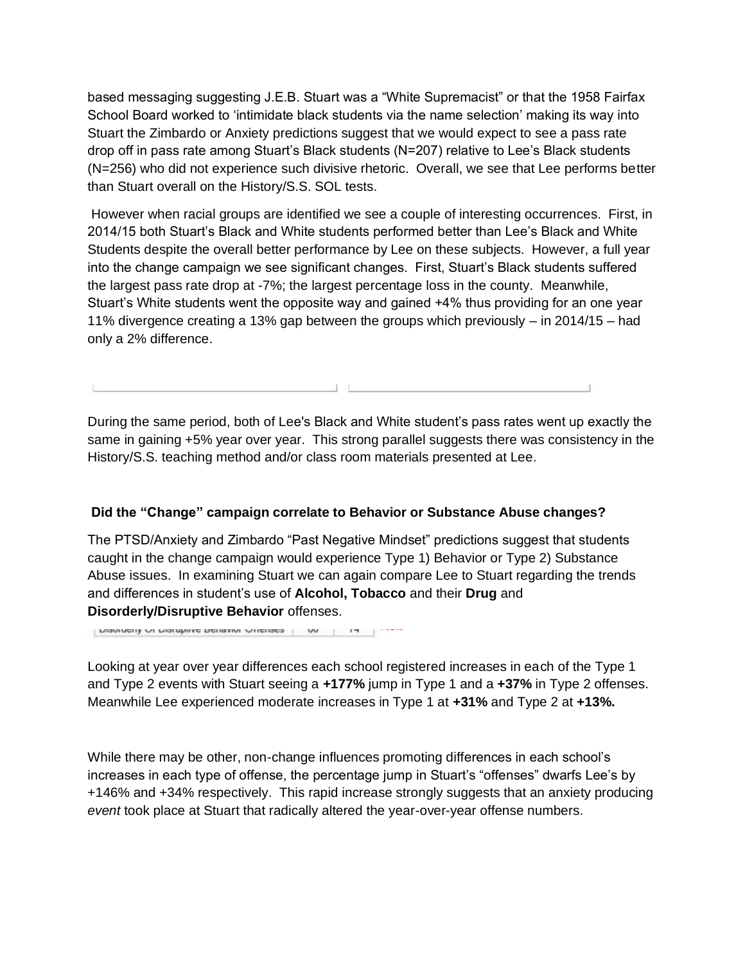based messaging suggesting J.E.B. Stuart was a "White Supremacist" or that the 1958 Fairfax School Board worked to 'intimidate black students via the name selection' making its way into Stuart the Zimbardo or Anxiety predictions suggest that we would expect to see a pass rate drop off in pass rate among Stuart's Black students (N=207) relative to Lee's Black students (N=256) who did not experience such divisive rhetoric. Overall, we see that Lee performs better than Stuart overall on the History/S.S. SOL tests.

However when racial groups are identified we see a couple of interesting occurrences. First, in 2014/15 both Stuart's Black and White students performed better than Lee's Black and White Students despite the overall better performance by Lee on these subjects. However, a full year into the change campaign we see significant changes. First, Stuart's Black students suffered the largest pass rate drop at -7%; the largest percentage loss in the county. Meanwhile, Stuart's White students went the opposite way and gained +4% thus providing for an one year 11% divergence creating a 13% gap between the groups which previously – in 2014/15 – had only a 2% difference.

During the same period, both of Lee's Black and White student's pass rates went up exactly the same in gaining +5% year over year. This strong parallel suggests there was consistency in the History/S.S. teaching method and/or class room materials presented at Lee.

## **Did the "Change" campaign correlate to Behavior or Substance Abuse changes?**

The PTSD/Anxiety and Zimbardo "Past Negative Mindset" predictions suggest that students caught in the change campaign would experience Type 1) Behavior or Type 2) Substance Abuse issues. In examining Stuart we can again compare Lee to Stuart regarding the trends and differences in student's use of **Alcohol, Tobacco** and their **Drug** and **Disorderly/Disruptive Behavior** offenses.

mannerit or mainhine neiranni Arienses | M | IL | ......

Looking at year over year differences each school registered increases in each of the Type 1 and Type 2 events with Stuart seeing a **+177%** jump in Type 1 and a **+37%** in Type 2 offenses. Meanwhile Lee experienced moderate increases in Type 1 at **+31%** and Type 2 at **+13%.**

While there may be other, non-change influences promoting differences in each school's increases in each type of offense, the percentage jump in Stuart's "offenses" dwarfs Lee's by +146% and +34% respectively. This rapid increase strongly suggests that an anxiety producing *event* took place at Stuart that radically altered the year-over-year offense numbers.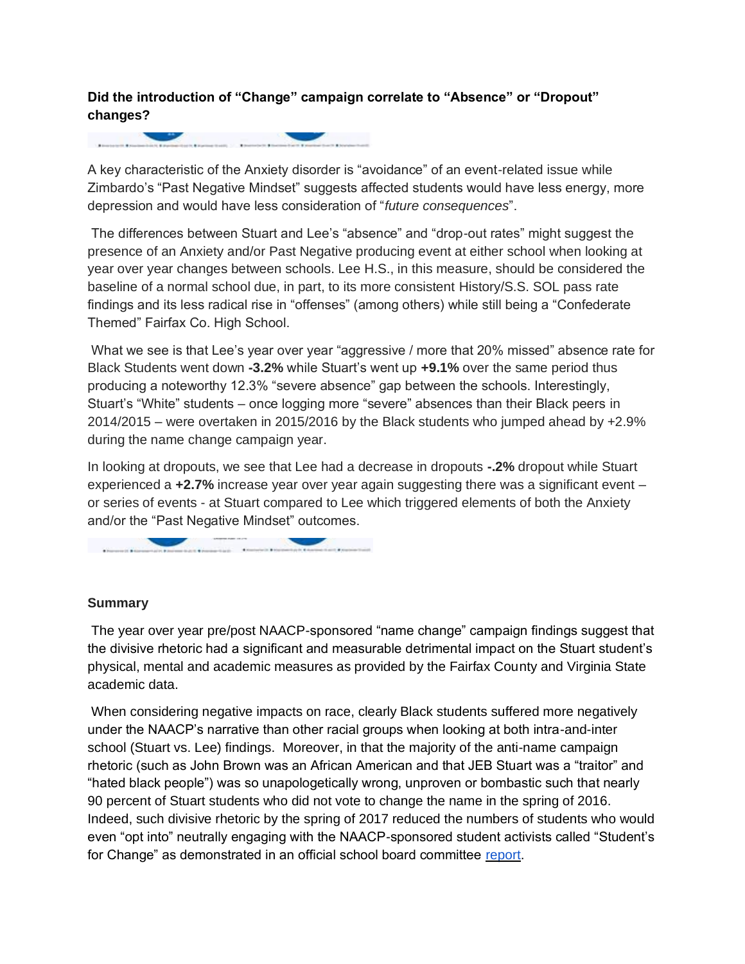# **Did the introduction of "Change" campaign correlate to "Absence" or "Dropout" changes?**

A key characteristic of the Anxiety disorder is "avoidance" of an event-related issue while Zimbardo's "Past Negative Mindset" suggests affected students would have less energy, more depression and would have less consideration of "*future consequences*".

The differences between Stuart and Lee's "absence" and "drop-out rates" might suggest the presence of an Anxiety and/or Past Negative producing event at either school when looking at year over year changes between schools. Lee H.S., in this measure, should be considered the baseline of a normal school due, in part, to its more consistent History/S.S. SOL pass rate findings and its less radical rise in "offenses" (among others) while still being a "Confederate Themed" Fairfax Co. High School.

What we see is that Lee's year over year "aggressive / more that 20% missed" absence rate for Black Students went down **-3.2%** while Stuart's went up **+9.1%** over the same period thus producing a noteworthy 12.3% "severe absence" gap between the schools. Interestingly, Stuart's "White" students – once logging more "severe" absences than their Black peers in 2014/2015 – were overtaken in 2015/2016 by the Black students who jumped ahead by +2.9% during the name change campaign year.

In looking at dropouts, we see that Lee had a decrease in dropouts **-.2%** dropout while Stuart experienced a **+2.7%** increase year over year again suggesting there was a significant event – or series of events - at Stuart compared to Lee which triggered elements of both the Anxiety and/or the "Past Negative Mindset" outcomes.

## **Summary**

The year over year pre/post NAACP-sponsored "name change" campaign findings suggest that the divisive rhetoric had a significant and measurable detrimental impact on the Stuart student's physical, mental and academic measures as provided by the Fairfax County and Virginia State academic data.

When considering negative impacts on race, clearly Black students suffered more negatively under the NAACP's narrative than other racial groups when looking at both intra-and-inter school (Stuart vs. Lee) findings. Moreover, in that the majority of the anti-name campaign rhetoric (such as John Brown was an African American and that JEB Stuart was a "traitor" and "hated black people") was so unapologetically wrong, unproven or bombastic such that nearly 90 percent of Stuart students who did not vote to change the name in the spring of 2016. Indeed, such divisive rhetoric by the spring of 2017 reduced the numbers of students who would even "opt into" neutrally engaging with the NAACP-sponsored student activists called "Student's for Change" as demonstrated in an official school board committee [report.](https://www.fcps.edu/sites/default/files/media/pdf/Subcommittee%202%20Report%201.pdf)